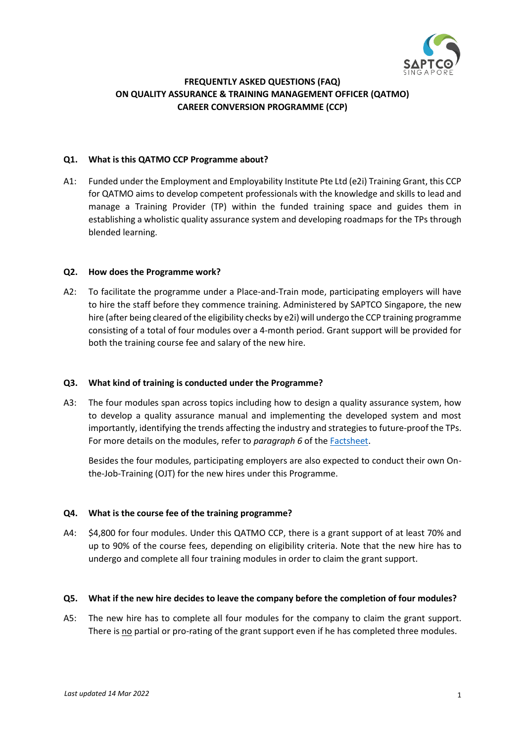

# **FREQUENTLY ASKED QUESTIONS (FAQ) ON QUALITY ASSURANCE & TRAINING MANAGEMENT OFFICER (QATMO) CAREER CONVERSION PROGRAMME (CCP)**

#### **Q1. What is this QATMO CCP Programme about?**

A1: Funded under the Employment and Employability Institute Pte Ltd (e2i) Training Grant, this CCP for QATMO aims to develop competent professionals with the knowledge and skills to lead and manage a Training Provider (TP) within the funded training space and guides them in establishing a wholistic quality assurance system and developing roadmaps for the TPs through blended learning.

#### **Q2. How does the Programme work?**

A2: To facilitate the programme under a Place-and-Train mode, participating employers will have to hire the staff before they commence training. Administered by SAPTCO Singapore, the new hire (after being cleared of the eligibility checks by e2i) will undergo the CCP training programme consisting of a total of four modules over a 4-month period. Grant support will be provided for both the training course fee and salary of the new hire.

## **Q3. What kind of training is conducted under the Programme?**

A3: The four modules span across topics including how to design a quality assurance system, how to develop a quality assurance manual and implementing the developed system and most importantly, identifying the trends affecting the industry and strategies to future-proof the TPs. For more details on the modules, refer to *paragraph 6* of the [Factsheet.](https://img1.wsimg.com/blobby/go/0499b750-9401-4516-8d59-a54f391d315f/downloads/QATMO%20CCP%20Factsheet.pdf?ver=1647333198480)

Besides the four modules, participating employers are also expected to conduct their own Onthe-Job-Training (OJT) for the new hires under this Programme.

## **Q4. What is the course fee of the training programme?**

A4: \$4,800 for four modules. Under this QATMO CCP, there is a grant support of at least 70% and up to 90% of the course fees, depending on eligibility criteria. Note that the new hire has to undergo and complete all four training modules in order to claim the grant support.

## **Q5. What if the new hire decides to leave the company before the completion of four modules?**

A5: The new hire has to complete all four modules for the company to claim the grant support. There is no partial or pro-rating of the grant support even if he has completed three modules.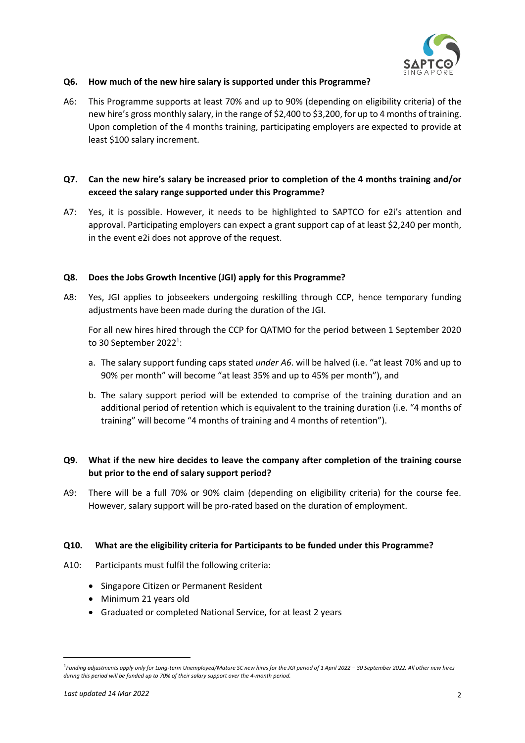

### **Q6. How much of the new hire salary is supported under this Programme?**

A6: This Programme supports at least 70% and up to 90% (depending on eligibility criteria) of the new hire's gross monthly salary, in the range of \$2,400 to \$3,200, for up to 4 months of training. Upon completion of the 4 months training, participating employers are expected to provide at least \$100 salary increment.

## **Q7. Can the new hire's salary be increased prior to completion of the 4 months training and/or exceed the salary range supported under this Programme?**

A7: Yes, it is possible. However, it needs to be highlighted to SAPTCO for e2i's attention and approval. Participating employers can expect a grant support cap of at least \$2,240 per month, in the event e2i does not approve of the request.

### **Q8. Does the Jobs Growth Incentive (JGI) apply for this Programme?**

A8: Yes, JGI applies to jobseekers undergoing reskilling through CCP, hence temporary funding adjustments have been made during the duration of the JGI.

For all new hires hired through the CCP for QATMO for the period between 1 September 2020 to 30 September 2022<sup>1</sup>:

- a. The salary support funding caps stated *under A6*. will be halved (i.e. "at least 70% and up to 90% per month" will become "at least 35% and up to 45% per month"), and
- b. The salary support period will be extended to comprise of the training duration and an additional period of retention which is equivalent to the training duration (i.e. "4 months of training" will become "4 months of training and 4 months of retention").

# **Q9. What if the new hire decides to leave the company after completion of the training course but prior to the end of salary support period?**

A9: There will be a full 70% or 90% claim (depending on eligibility criteria) for the course fee. However, salary support will be pro-rated based on the duration of employment.

#### **Q10. What are the eligibility criteria for Participants to be funded under this Programme?**

- A10: Participants must fulfil the following criteria:
	- Singapore Citizen or Permanent Resident
	- Minimum 21 years old
	- Graduated or completed National Service, for at least 2 years

<sup>1</sup> *Funding adjustments apply only for Long-term Unemployed/Mature SC new hires for the JGI period of 1 April 2022 – 30 September 2022. All other new hires during this period will be funded up to 70% of their salary support over the 4-month period.*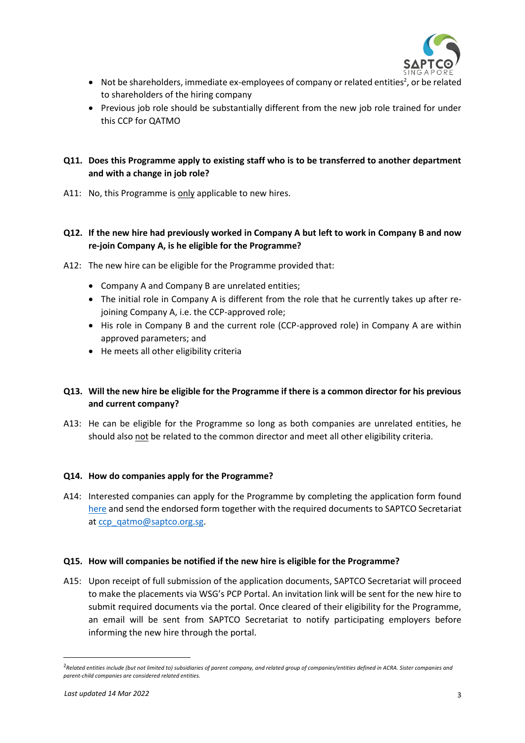

- Not be shareholders, immediate ex-employees of company or related entities<sup>2</sup>, or be related to shareholders of the hiring company
- Previous job role should be substantially different from the new job role trained for under this CCP for QATMO

# **Q11. Does this Programme apply to existing staff who is to be transferred to another department and with a change in job role?**

A11: No, this Programme is only applicable to new hires.

## **Q12. If the new hire had previously worked in Company A but left to work in Company B and now re-join Company A, is he eligible for the Programme?**

- A12: The new hire can be eligible for the Programme provided that:
	- Company A and Company B are unrelated entities;
	- The initial role in Company A is different from the role that he currently takes up after rejoining Company A, i.e. the CCP-approved role;
	- His role in Company B and the current role (CCP-approved role) in Company A are within approved parameters; and
	- He meets all other eligibility criteria

# **Q13. Will the new hire be eligible for the Programme if there is a common director for his previous and current company?**

A13: He can be eligible for the Programme so long as both companies are unrelated entities, he should also not be related to the common director and meet all other eligibility criteria.

#### **Q14. How do companies apply for the Programme?**

A14: Interested companies can apply for the Programme by completing the application form found [here](https://img1.wsimg.com/blobby/go/0499b750-9401-4516-8d59-a54f391d315f/downloads/QATMO%20CCP%20Application%20Form.pdf?ver=1647333198480) and send the endorsed form together with the required documents to SAPTCO Secretariat at [ccp\\_qatmo@saptco.org.sg.](ccp_qatmo@saptco.org.sg)

#### **Q15. How will companies be notified if the new hire is eligible for the Programme?**

A15: Upon receipt of full submission of the application documents, SAPTCO Secretariat will proceed to make the placements via WSG's PCP Portal. An invitation link will be sent for the new hire to submit required documents via the portal. Once cleared of their eligibility for the Programme, an email will be sent from SAPTCO Secretariat to notify participating employers before informing the new hire through the portal.

<sup>2</sup>*Related entities include (but not limited to) subsidiaries of parent company, and related group of companies/entities defined in ACRA. Sister companies and parent-child companies are considered related entities.*